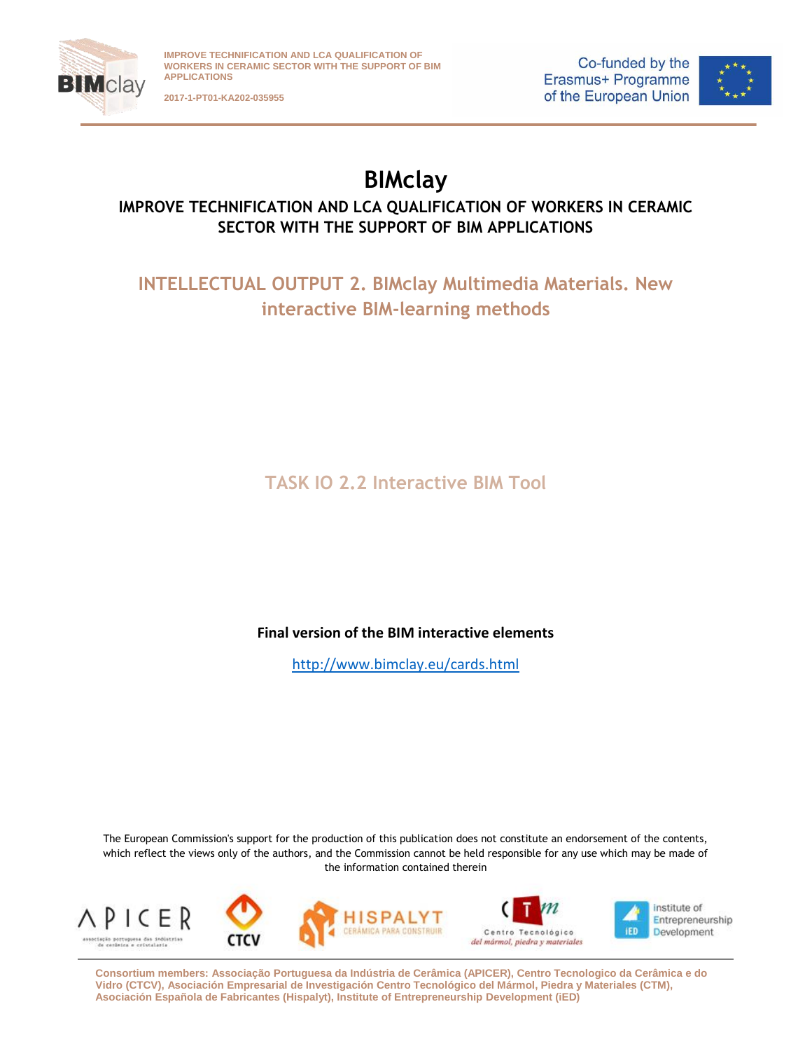

**2017-1-PT01-KA202-035955**

Co-funded by the Erasmus+ Programme of the European Union



## **BIMclay**

## **IMPROVE TECHNIFICATION AND LCA QUALIFICATION OF WORKERS IN CERAMIC SECTOR WITH THE SUPPORT OF BIM APPLICATIONS**

**INTELLECTUAL OUTPUT 2. BIMclay Multimedia Materials. New interactive BIM-learning methods**

**TASK IO 2.2 Interactive BIM Tool**

## **Final version of the BIM interactive elements**

<http://www.bimclay.eu/cards.html>

The European Commission's support for the production of this publication does not constitute an endorsement of the contents, which reflect the views only of the authors, and the Commission cannot be held responsible for any use which may be made of the information contained therein









institute of Entrepreneurship **IED** Development

**Consortium members: Associação Portuguesa da Indústria de Cerâmica (APICER), Centro Tecnologico da Cerâmica e do Vidro (CTCV), Asociación Empresarial de Investigación Centro Tecnológico del Mármol, Piedra y Materiales (CTM), Asociación Española de Fabricantes (Hispalyt), Institute of Entrepreneurship Development (iED)**